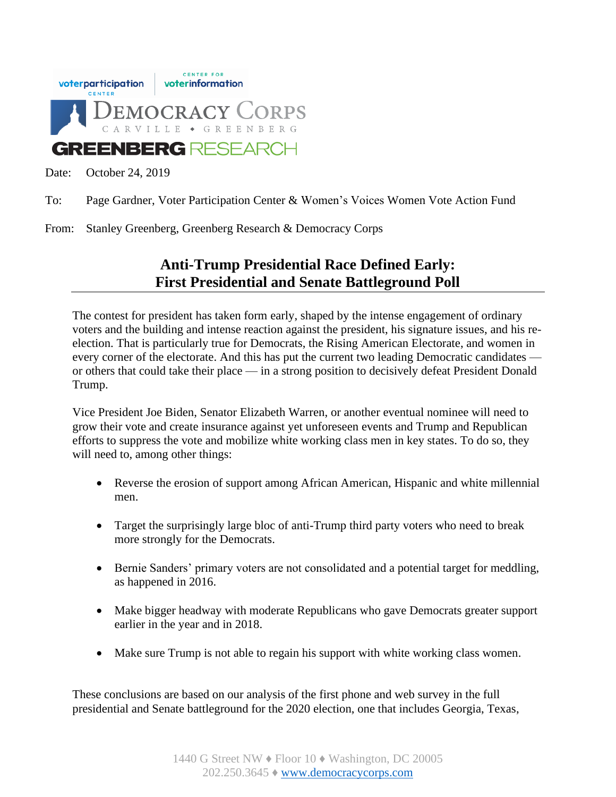

Date: October 24, 2019

- To: Page Gardner, Voter Participation Center & Women's Voices Women Vote Action Fund
- From: Stanley Greenberg, Greenberg Research & Democracy Corps

# **Anti-Trump Presidential Race Defined Early: First Presidential and Senate Battleground Poll**

The contest for president has taken form early, shaped by the intense engagement of ordinary voters and the building and intense reaction against the president, his signature issues, and his reelection. That is particularly true for Democrats, the Rising American Electorate, and women in every corner of the electorate. And this has put the current two leading Democratic candidates or others that could take their place — in a strong position to decisively defeat President Donald Trump.

Vice President Joe Biden, Senator Elizabeth Warren, or another eventual nominee will need to grow their vote and create insurance against yet unforeseen events and Trump and Republican efforts to suppress the vote and mobilize white working class men in key states. To do so, they will need to, among other things:

- Reverse the erosion of support among African American, Hispanic and white millennial men.
- Target the surprisingly large bloc of anti-Trump third party voters who need to break more strongly for the Democrats.
- Bernie Sanders' primary voters are not consolidated and a potential target for meddling, as happened in 2016.
- Make bigger headway with moderate Republicans who gave Democrats greater support earlier in the year and in 2018.
- Make sure Trump is not able to regain his support with white working class women.

These conclusions are based on our analysis of the first phone and web survey in the full presidential and Senate battleground for the 2020 election, one that includes Georgia, Texas,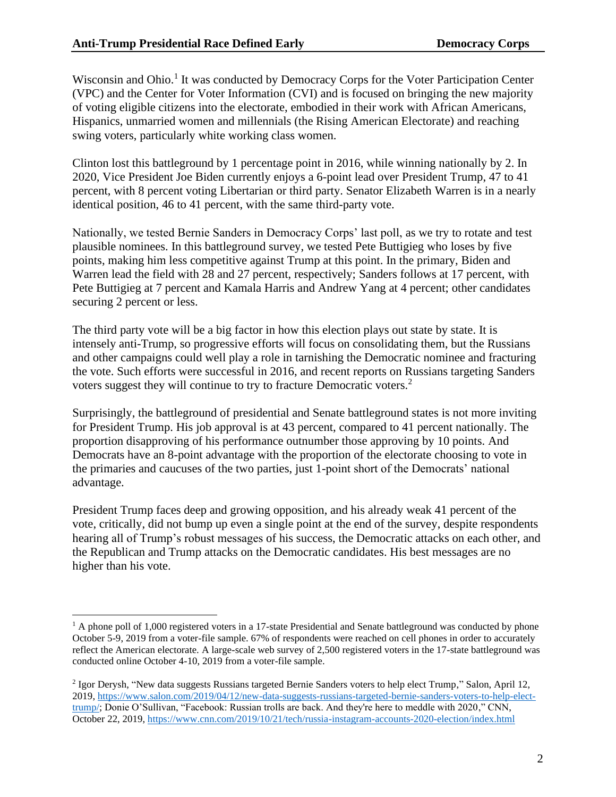Wisconsin and Ohio.<sup>1</sup> It was conducted by Democracy Corps for the Voter Participation Center (VPC) and the Center for Voter Information (CVI) and is focused on bringing the new majority of voting eligible citizens into the electorate, embodied in their work with African Americans, Hispanics, unmarried women and millennials (the Rising American Electorate) and reaching swing voters, particularly white working class women.

Clinton lost this battleground by 1 percentage point in 2016, while winning nationally by 2. In 2020, Vice President Joe Biden currently enjoys a 6-point lead over President Trump, 47 to 41 percent, with 8 percent voting Libertarian or third party. Senator Elizabeth Warren is in a nearly identical position, 46 to 41 percent, with the same third-party vote.

Nationally, we tested Bernie Sanders in Democracy Corps' last poll, as we try to rotate and test plausible nominees. In this battleground survey, we tested Pete Buttigieg who loses by five points, making him less competitive against Trump at this point. In the primary, Biden and Warren lead the field with 28 and 27 percent, respectively; Sanders follows at 17 percent, with Pete Buttigieg at 7 percent and Kamala Harris and Andrew Yang at 4 percent; other candidates securing 2 percent or less.

The third party vote will be a big factor in how this election plays out state by state. It is intensely anti-Trump, so progressive efforts will focus on consolidating them, but the Russians and other campaigns could well play a role in tarnishing the Democratic nominee and fracturing the vote. Such efforts were successful in 2016, and recent reports on Russians targeting Sanders voters suggest they will continue to try to fracture Democratic voters.<sup>2</sup>

Surprisingly, the battleground of presidential and Senate battleground states is not more inviting for President Trump. His job approval is at 43 percent, compared to 41 percent nationally. The proportion disapproving of his performance outnumber those approving by 10 points. And Democrats have an 8-point advantage with the proportion of the electorate choosing to vote in the primaries and caucuses of the two parties, just 1-point short of the Democrats' national advantage.

President Trump faces deep and growing opposition, and his already weak 41 percent of the vote, critically, did not bump up even a single point at the end of the survey, despite respondents hearing all of Trump's robust messages of his success, the Democratic attacks on each other, and the Republican and Trump attacks on the Democratic candidates. His best messages are no higher than his vote.

<sup>&</sup>lt;sup>1</sup> A phone poll of 1,000 registered voters in a 17-state Presidential and Senate battleground was conducted by phone October 5-9, 2019 from a voter-file sample. 67% of respondents were reached on cell phones in order to accurately reflect the American electorate. A large-scale web survey of 2,500 registered voters in the 17-state battleground was conducted online October 4-10, 2019 from a voter-file sample.

<sup>&</sup>lt;sup>2</sup> Igor Derysh, "New data suggests Russians targeted Bernie Sanders voters to help elect Trump," Salon, April 12, 2019, [https://www.salon.com/2019/04/12/new-data-suggests-russians-targeted-bernie-sanders-voters-to-help-elect](https://www.salon.com/2019/04/12/new-data-suggests-russians-targeted-bernie-sanders-voters-to-help-elect-trump/)[trump/;](https://www.salon.com/2019/04/12/new-data-suggests-russians-targeted-bernie-sanders-voters-to-help-elect-trump/) Donie O'Sullivan, "Facebook: Russian trolls are back. And they're here to meddle with 2020," CNN, October 22, 2019, <https://www.cnn.com/2019/10/21/tech/russia-instagram-accounts-2020-election/index.html>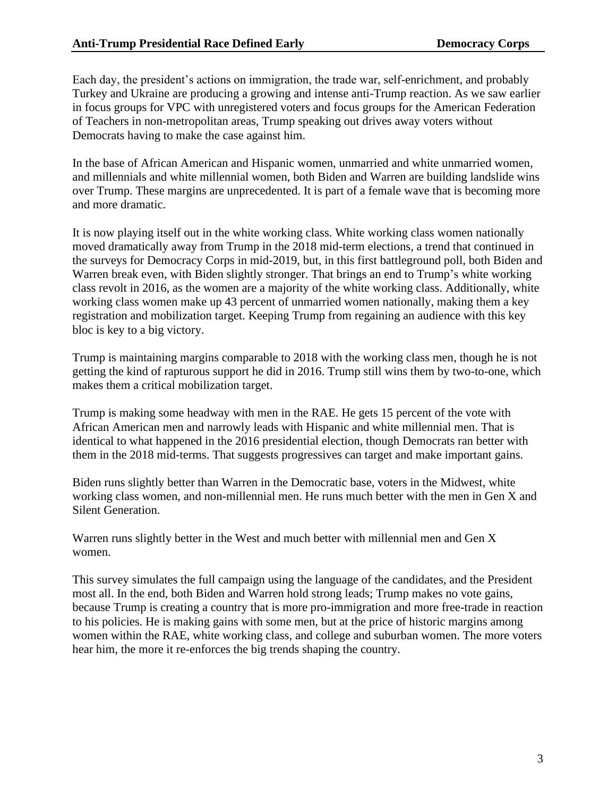Each day, the president's actions on immigration, the trade war, self-enrichment, and probably Turkey and Ukraine are producing a growing and intense anti-Trump reaction. As we saw earlier in focus groups for VPC with unregistered voters and focus groups for the American Federation of Teachers in non-metropolitan areas, Trump speaking out drives away voters without Democrats having to make the case against him.

In the base of African American and Hispanic women, unmarried and white unmarried women, and millennials and white millennial women, both Biden and Warren are building landslide wins over Trump. These margins are unprecedented. It is part of a female wave that is becoming more and more dramatic.

It is now playing itself out in the white working class. White working class women nationally moved dramatically away from Trump in the 2018 mid-term elections, a trend that continued in the surveys for Democracy Corps in mid-2019, but, in this first battleground poll, both Biden and Warren break even, with Biden slightly stronger. That brings an end to Trump's white working class revolt in 2016, as the women are a majority of the white working class. Additionally, white working class women make up 43 percent of unmarried women nationally, making them a key registration and mobilization target. Keeping Trump from regaining an audience with this key bloc is key to a big victory.

Trump is maintaining margins comparable to 2018 with the working class men, though he is not getting the kind of rapturous support he did in 2016. Trump still wins them by two-to-one, which makes them a critical mobilization target.

Trump is making some headway with men in the RAE. He gets 15 percent of the vote with African American men and narrowly leads with Hispanic and white millennial men. That is identical to what happened in the 2016 presidential election, though Democrats ran better with them in the 2018 mid-terms. That suggests progressives can target and make important gains.

Biden runs slightly better than Warren in the Democratic base, voters in the Midwest, white working class women, and non-millennial men. He runs much better with the men in Gen X and Silent Generation.

Warren runs slightly better in the West and much better with millennial men and Gen X women.

This survey simulates the full campaign using the language of the candidates, and the President most all. In the end, both Biden and Warren hold strong leads; Trump makes no vote gains, because Trump is creating a country that is more pro-immigration and more free-trade in reaction to his policies. He is making gains with some men, but at the price of historic margins among women within the RAE, white working class, and college and suburban women. The more voters hear him, the more it re-enforces the big trends shaping the country.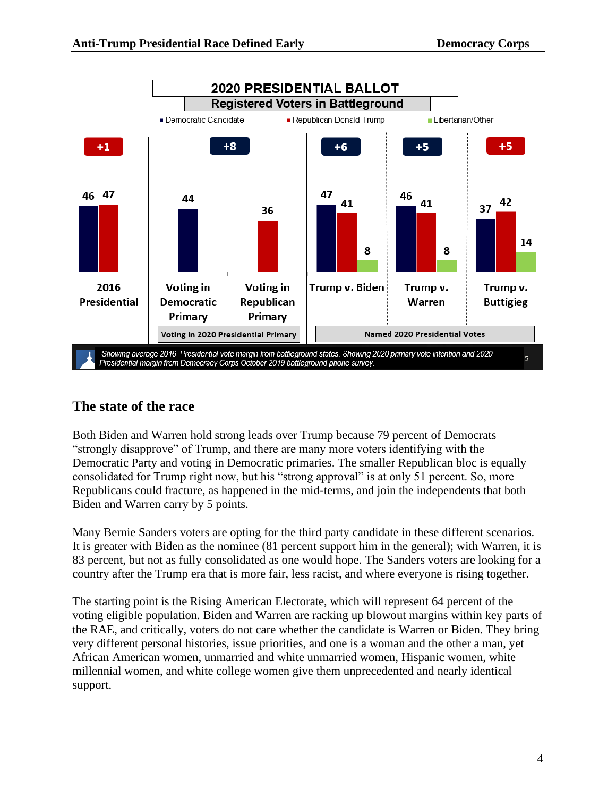

## **The state of the race**

Both Biden and Warren hold strong leads over Trump because 79 percent of Democrats "strongly disapprove" of Trump, and there are many more voters identifying with the Democratic Party and voting in Democratic primaries. The smaller Republican bloc is equally consolidated for Trump right now, but his "strong approval" is at only 51 percent. So, more Republicans could fracture, as happened in the mid-terms, and join the independents that both Biden and Warren carry by 5 points.

Many Bernie Sanders voters are opting for the third party candidate in these different scenarios. It is greater with Biden as the nominee (81 percent support him in the general); with Warren, it is 83 percent, but not as fully consolidated as one would hope. The Sanders voters are looking for a country after the Trump era that is more fair, less racist, and where everyone is rising together.

The starting point is the Rising American Electorate, which will represent 64 percent of the voting eligible population. Biden and Warren are racking up blowout margins within key parts of the RAE, and critically, voters do not care whether the candidate is Warren or Biden. They bring very different personal histories, issue priorities, and one is a woman and the other a man, yet African American women, unmarried and white unmarried women, Hispanic women, white millennial women, and white college women give them unprecedented and nearly identical support.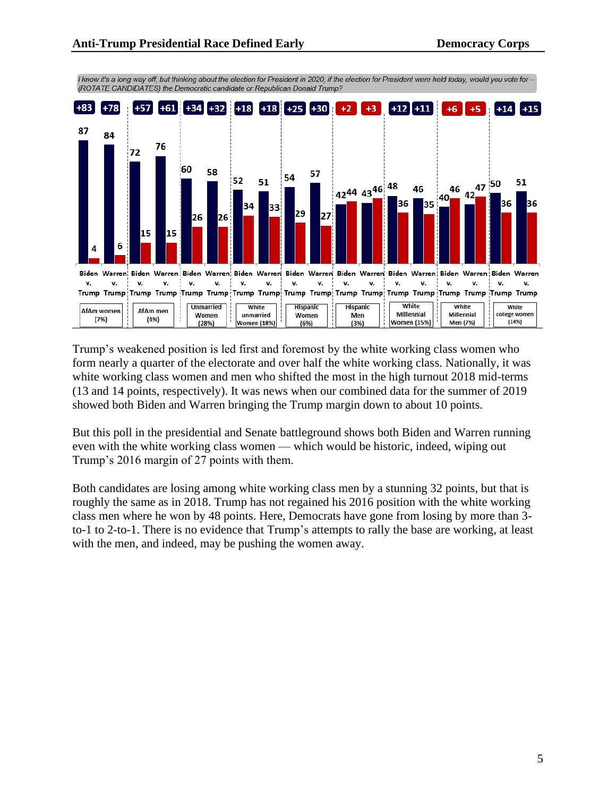

I know it's a long way off, but thinking about the election for President in 2020, if the election for President were held today, would you vote for --(ROTATE CANDIDATES) the Democratic candidate or Republican Donald Trump?

Trump's weakened position is led first and foremost by the white working class women who form nearly a quarter of the electorate and over half the white working class. Nationally, it was white working class women and men who shifted the most in the high turnout 2018 mid-terms (13 and 14 points, respectively). It was news when our combined data for the summer of 2019 showed both Biden and Warren bringing the Trump margin down to about 10 points.

But this poll in the presidential and Senate battleground shows both Biden and Warren running even with the white working class women — which would be historic, indeed, wiping out Trump's 2016 margin of 27 points with them.

Both candidates are losing among white working class men by a stunning 32 points, but that is roughly the same as in 2018. Trump has not regained his 2016 position with the white working class men where he won by 48 points. Here, Democrats have gone from losing by more than 3 to-1 to 2-to-1. There is no evidence that Trump's attempts to rally the base are working, at least with the men, and indeed, may be pushing the women away.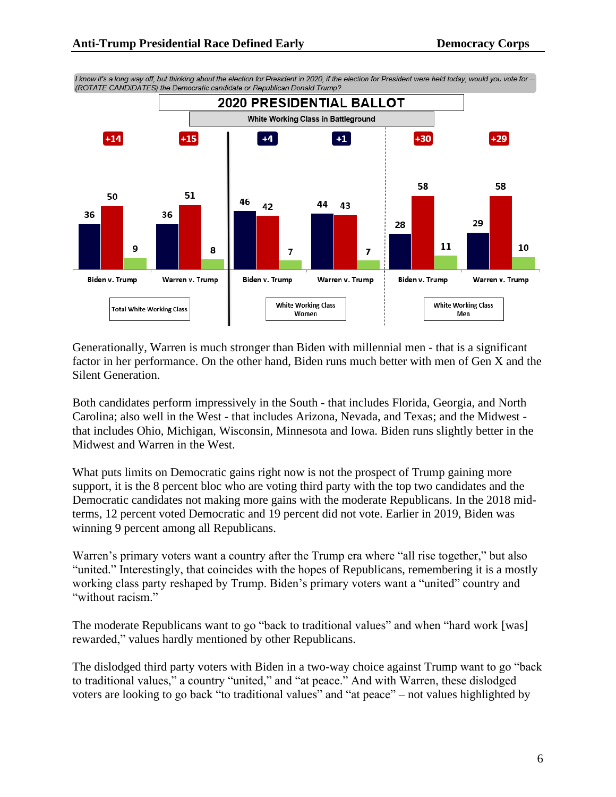

I know it's a long way off, but thinking about the election for President in 2020, if the election for President were held today, would you vote for -(ROTATE CANDIDATES) the Democratic candidate or Republican Donald Trump?

Generationally, Warren is much stronger than Biden with millennial men - that is a significant factor in her performance. On the other hand, Biden runs much better with men of Gen X and the Silent Generation.

Both candidates perform impressively in the South - that includes Florida, Georgia, and North Carolina; also well in the West - that includes Arizona, Nevada, and Texas; and the Midwest that includes Ohio, Michigan, Wisconsin, Minnesota and Iowa. Biden runs slightly better in the Midwest and Warren in the West.

What puts limits on Democratic gains right now is not the prospect of Trump gaining more support, it is the 8 percent bloc who are voting third party with the top two candidates and the Democratic candidates not making more gains with the moderate Republicans. In the 2018 midterms, 12 percent voted Democratic and 19 percent did not vote. Earlier in 2019, Biden was winning 9 percent among all Republicans.

Warren's primary voters want a country after the Trump era where "all rise together," but also "united." Interestingly, that coincides with the hopes of Republicans, remembering it is a mostly working class party reshaped by Trump. Biden's primary voters want a "united" country and "without racism."

The moderate Republicans want to go "back to traditional values" and when "hard work [was] rewarded," values hardly mentioned by other Republicans.

The dislodged third party voters with Biden in a two-way choice against Trump want to go "back to traditional values," a country "united," and "at peace." And with Warren, these dislodged voters are looking to go back "to traditional values" and "at peace" – not values highlighted by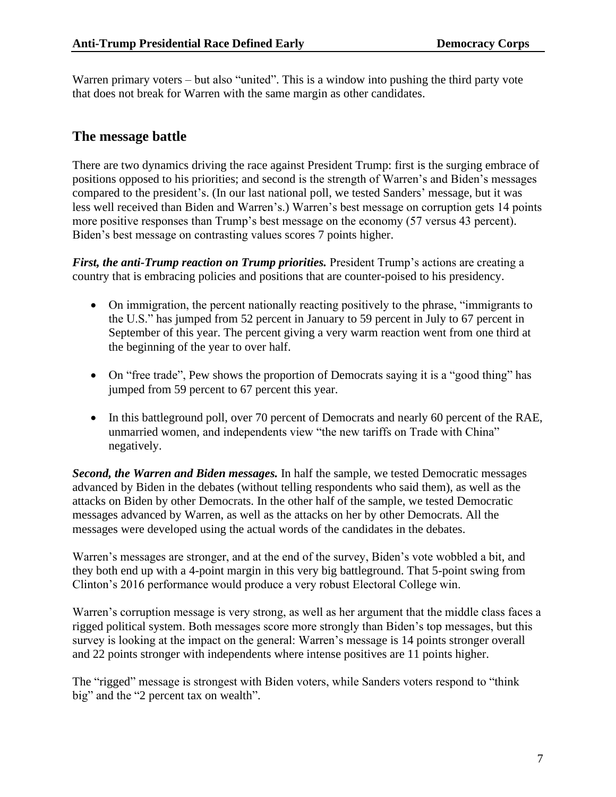Warren primary voters – but also "united". This is a window into pushing the third party vote that does not break for Warren with the same margin as other candidates.

### **The message battle**

There are two dynamics driving the race against President Trump: first is the surging embrace of positions opposed to his priorities; and second is the strength of Warren's and Biden's messages compared to the president's. (In our last national poll, we tested Sanders' message, but it was less well received than Biden and Warren's.) Warren's best message on corruption gets 14 points more positive responses than Trump's best message on the economy (57 versus 43 percent). Biden's best message on contrasting values scores 7 points higher.

*First, the anti-Trump reaction on Trump priorities.* President Trump's actions are creating a country that is embracing policies and positions that are counter-poised to his presidency.

- On immigration, the percent nationally reacting positively to the phrase, "immigrants to the U.S." has jumped from 52 percent in January to 59 percent in July to 67 percent in September of this year. The percent giving a very warm reaction went from one third at the beginning of the year to over half.
- On "free trade", Pew shows the proportion of Democrats saying it is a "good thing" has jumped from 59 percent to 67 percent this year.
- In this battleground poll, over 70 percent of Democrats and nearly 60 percent of the RAE, unmarried women, and independents view "the new tariffs on Trade with China" negatively.

*Second, the Warren and Biden messages.* In half the sample, we tested Democratic messages advanced by Biden in the debates (without telling respondents who said them), as well as the attacks on Biden by other Democrats. In the other half of the sample, we tested Democratic messages advanced by Warren, as well as the attacks on her by other Democrats. All the messages were developed using the actual words of the candidates in the debates.

Warren's messages are stronger, and at the end of the survey, Biden's vote wobbled a bit, and they both end up with a 4-point margin in this very big battleground. That 5-point swing from Clinton's 2016 performance would produce a very robust Electoral College win.

Warren's corruption message is very strong, as well as her argument that the middle class faces a rigged political system. Both messages score more strongly than Biden's top messages, but this survey is looking at the impact on the general: Warren's message is 14 points stronger overall and 22 points stronger with independents where intense positives are 11 points higher.

The "rigged" message is strongest with Biden voters, while Sanders voters respond to "think big" and the "2 percent tax on wealth".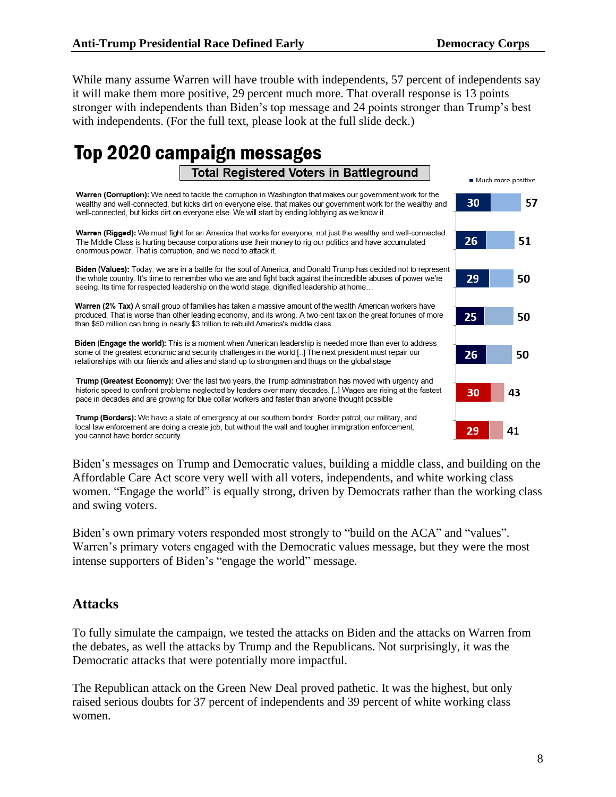Much more positive

30

26

29

25

26

30

29

57

51

50

While many assume Warren will have trouble with independents, 57 percent of independents say it will make them more positive, 29 percent much more. That overall response is 13 points stronger with independents than Biden's top message and 24 points stronger than Trump's best with independents. (For the full text, please look at the full slide deck.)

# Top 2020 campaign messages **Total Registered Voters in Battleground**

Warren (Corruption): We need to tackle the corruption in Washington that makes our government work for the wealthy and well-connected, but kicks dirt on everyone else, that makes our government work for the wealthy and well-connected, but kicks dirt on everyone else. We will start by ending lobbying as we know it...

Warren (Rigged): We must fight for an America that works for everyone, not just the wealthy and well-connected. The Middle Class is hurting because corporations use their money to rig our politics and have accumulated enormous power. That is corruption, and we need to attack it.

Biden (Values): Today, we are in a battle for the soul of America, and Donald Trump has decided not to represent the whole country. It's time to remember who we are and fight back against the incredible abuses of power we're seeing. Its time for respected leadership on the world stage, dignified leadership at home...

Warren (2% Tax) A small group of families has taken a massive amount of the wealth American workers have produced. That is worse than other leading economy, and its wrong. A two-cent tax on the great fortunes of more than \$50 million can bring in nearly \$3 trillion to rebuild America's middle class...

Biden (Engage the world): This is a moment when American leadership is needed more than ever to address some of the greatest economic and security challenges in the world [..] The next president must repair our relationships with our friends and allies and stand up to strongmen and thugs on the global stage

Trump (Greatest Economy): Over the last two years, the Trump administration has moved with urgency and historic speed to confront problems neglected by leaders over many decades. [..] Wages are rising at the fastest pace in decades and are growing for blue collar workers and faster than anyone thought possible

Trump (Borders): We have a state of emergency at our southern border. Border patrol, our military, and local law enforcement are doing a create job, but without the wall and tougher immigration enforcement, you cannot have border security.

Biden's messages on Trump and Democratic values, building a middle class, and building on the Affordable Care Act score very well with all voters, independents, and white working class women. "Engage the world" is equally strong, driven by Democrats rather than the working class and swing voters.

Biden's own primary voters responded most strongly to "build on the ACA" and "values". Warren's primary voters engaged with the Democratic values message, but they were the most intense supporters of Biden's "engage the world" message.

#### **Attacks**

To fully simulate the campaign, we tested the attacks on Biden and the attacks on Warren from the debates, as well the attacks by Trump and the Republicans. Not surprisingly, it was the Democratic attacks that were potentially more impactful.

The Republican attack on the Green New Deal proved pathetic. It was the highest, but only raised serious doubts for 37 percent of independents and 39 percent of white working class women.

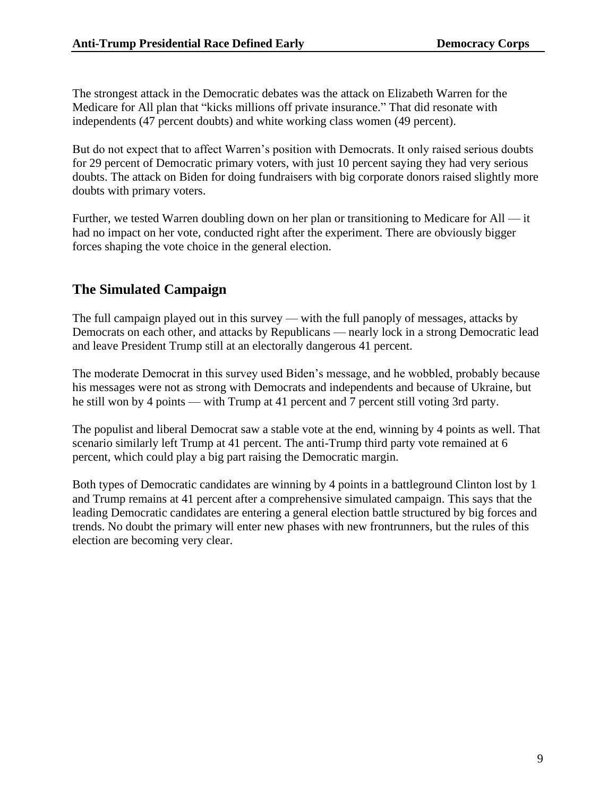The strongest attack in the Democratic debates was the attack on Elizabeth Warren for the Medicare for All plan that "kicks millions off private insurance." That did resonate with independents (47 percent doubts) and white working class women (49 percent).

But do not expect that to affect Warren's position with Democrats. It only raised serious doubts for 29 percent of Democratic primary voters, with just 10 percent saying they had very serious doubts. The attack on Biden for doing fundraisers with big corporate donors raised slightly more doubts with primary voters.

Further, we tested Warren doubling down on her plan or transitioning to Medicare for All — it had no impact on her vote, conducted right after the experiment. There are obviously bigger forces shaping the vote choice in the general election.

## **The Simulated Campaign**

The full campaign played out in this survey — with the full panoply of messages, attacks by Democrats on each other, and attacks by Republicans — nearly lock in a strong Democratic lead and leave President Trump still at an electorally dangerous 41 percent.

The moderate Democrat in this survey used Biden's message, and he wobbled, probably because his messages were not as strong with Democrats and independents and because of Ukraine, but he still won by 4 points — with Trump at 41 percent and 7 percent still voting 3rd party.

The populist and liberal Democrat saw a stable vote at the end, winning by 4 points as well. That scenario similarly left Trump at 41 percent. The anti-Trump third party vote remained at 6 percent, which could play a big part raising the Democratic margin.

Both types of Democratic candidates are winning by 4 points in a battleground Clinton lost by 1 and Trump remains at 41 percent after a comprehensive simulated campaign. This says that the leading Democratic candidates are entering a general election battle structured by big forces and trends. No doubt the primary will enter new phases with new frontrunners, but the rules of this election are becoming very clear.